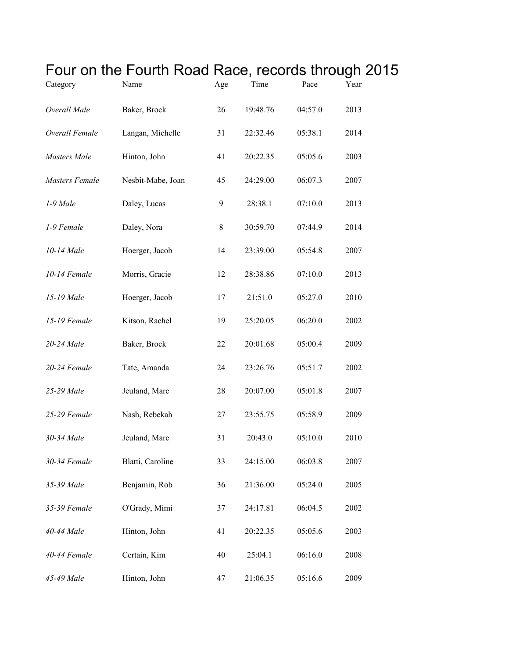|                | Four on the Fourth Road Race, records through 2015 |       |          |         |      |  |
|----------------|----------------------------------------------------|-------|----------|---------|------|--|
| Category       | Name                                               | Age   | Time     | Pace    | Year |  |
| Overall Male   | Baker, Brock                                       | 26    | 19:48.76 | 04:57.0 | 2013 |  |
| Overall Female | Langan, Michelle                                   | 31    | 22:32.46 | 05:38.1 | 2014 |  |
| Masters Male   | Hinton, John                                       | 41    | 20:22.35 | 05:05.6 | 2003 |  |
| Masters Female | Nesbit-Mabe, Joan                                  | 45    | 24:29.00 | 06:07.3 | 2007 |  |
| 1-9 Male       | Daley, Lucas                                       | 9     | 28:38.1  | 07:10.0 | 2013 |  |
| 1-9 Female     | Daley, Nora                                        | $8\,$ | 30:59.70 | 07:44.9 | 2014 |  |
| 10-14 Male     | Hoerger, Jacob                                     | 14    | 23:39.00 | 05:54.8 | 2007 |  |
| 10-14 Female   | Morris, Gracie                                     | 12    | 28:38.86 | 07:10.0 | 2013 |  |
| 15-19 Male     | Hoerger, Jacob                                     | 17    | 21:51.0  | 05:27.0 | 2010 |  |
| 15-19 Female   | Kitson, Rachel                                     | 19    | 25:20.05 | 06:20.0 | 2002 |  |
| 20-24 Male     | Baker, Brock                                       | 22    | 20:01.68 | 05:00.4 | 2009 |  |
| 20-24 Female   | Tate, Amanda                                       | 24    | 23:26.76 | 05:51.7 | 2002 |  |
| 25-29 Male     | Jeuland, Marc                                      | 28    | 20:07.00 | 05:01.8 | 2007 |  |
| 25-29 Female   | Nash, Rebekah                                      | 27    | 23:55.75 | 05:58.9 | 2009 |  |
| 30-34 Male     | Jeuland, Marc                                      | 31    | 20:43.0  | 05:10.0 | 2010 |  |
| 30-34 Female   | Blatti, Caroline                                   | 33    | 24:15.00 | 06:03.8 | 2007 |  |
| 35-39 Male     | Benjamin, Rob                                      | 36    | 21:36.00 | 05:24.0 | 2005 |  |
| 35-39 Female   | O'Grady, Mimi                                      | 37    | 24:17.81 | 06:04.5 | 2002 |  |
| 40-44 Male     | Hinton, John                                       | 41    | 20:22.35 | 05:05.6 | 2003 |  |
| 40-44 Female   | Certain, Kim                                       | 40    | 25:04.1  | 06:16.0 | 2008 |  |
| 45-49 Male     | Hinton, John                                       | 47    | 21:06.35 | 05:16.6 | 2009 |  |